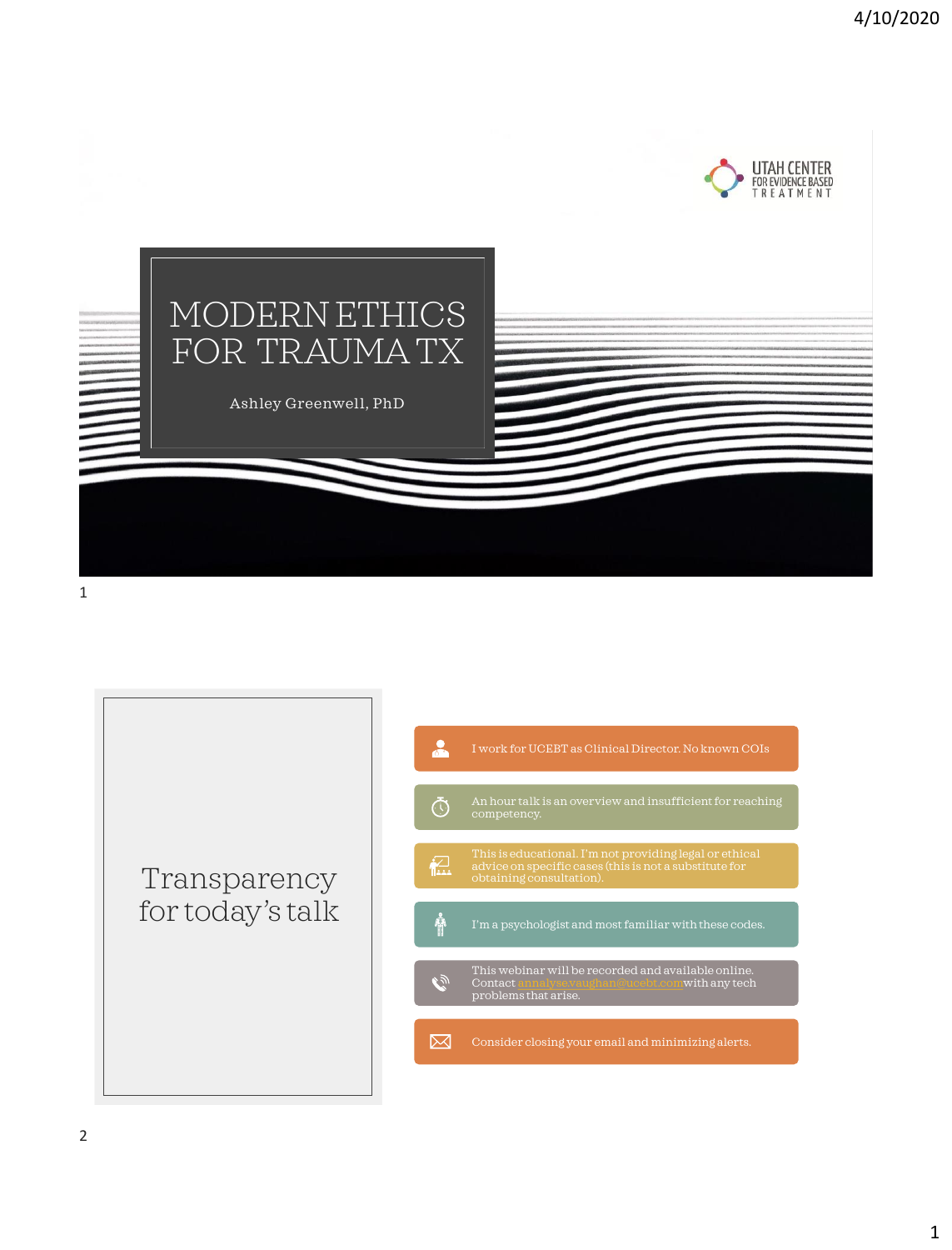



Transparency for today's talk

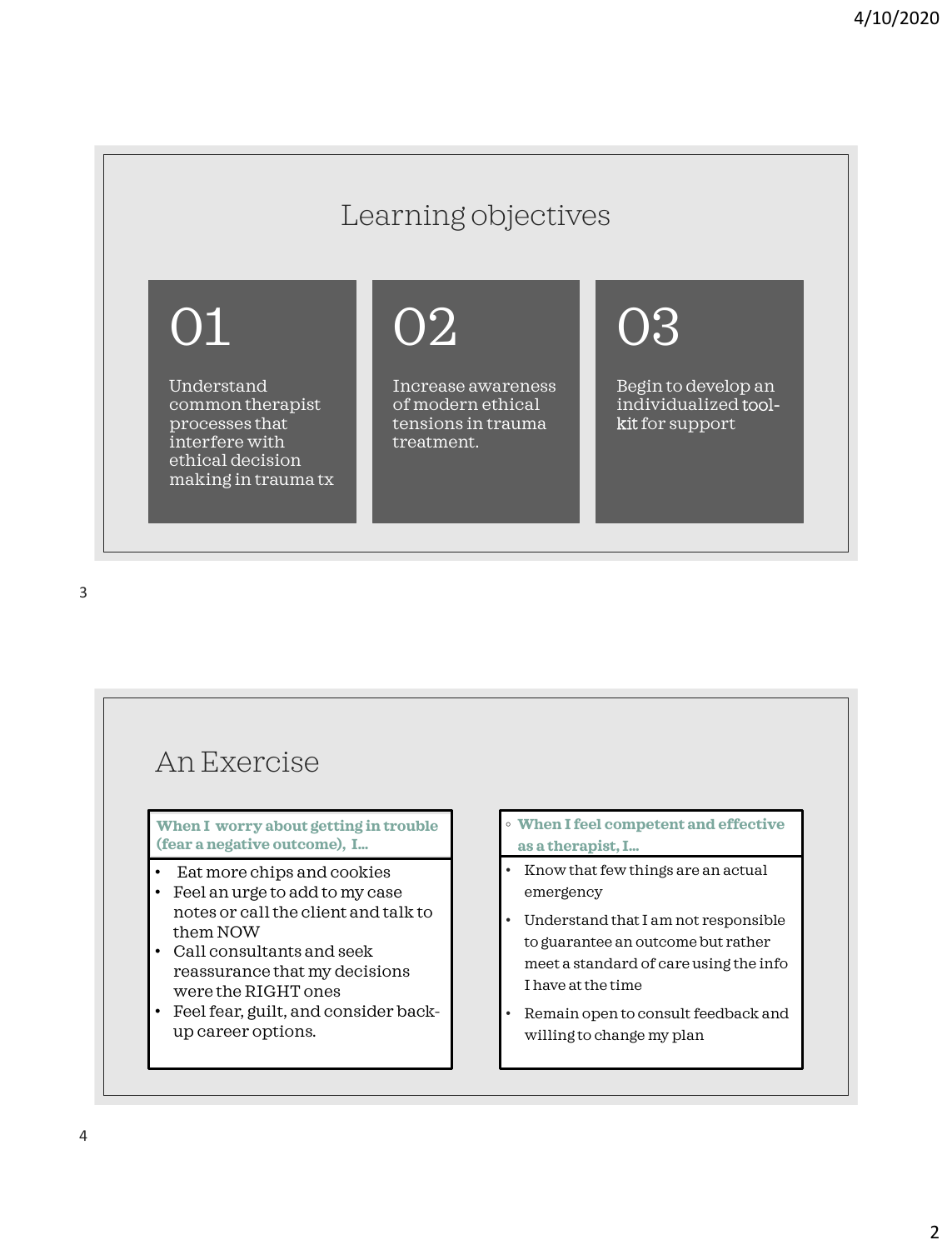### Learning objectives

## 01

Understand common therapist processes that interfere with ethical decision making in trauma tx

## 02

Increase awareness of modern ethical tensions in trauma treatment.

03

Begin to develop an individualized toolkit for support

# An Exercise

**When I worry about getting in trouble (fear a negative outcome), I…**

- Eat more chips and cookies
- Feel an urge to add to my case notes or call the client and talk to them NOW
- Call consultants and seek reassurance that my decisions were the RIGHT ones
- Feel fear, guilt, and consider backup career options.
- **When I feel competent and effective as a therapist, I…**
- Know that few things are an actual emergency
- Understand that I am not responsible to guarantee an outcome but rather meet a standard of care using the info I have at the time
- Remain open to consult feedback and willing to change my plan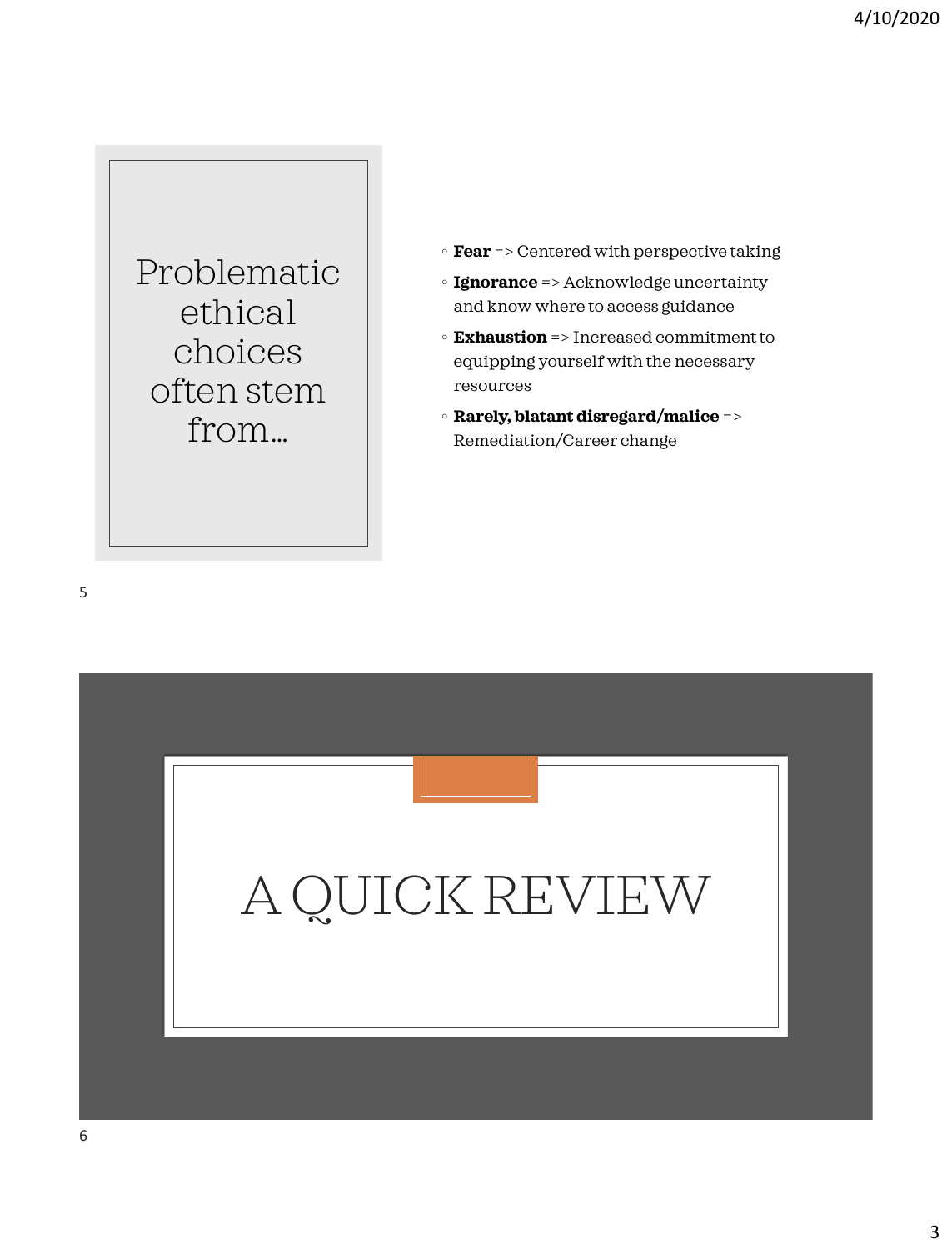Problematic ethical choices often stem from…

- **Fear** => Centered with perspective taking
- **Ignorance** => Acknowledge uncertainty and know where to access guidance
- **Exhaustion** => Increased commitment to equipping yourself with the necessary resources
- **Rarely, blatant disregard/malice** => Remediation/Career change



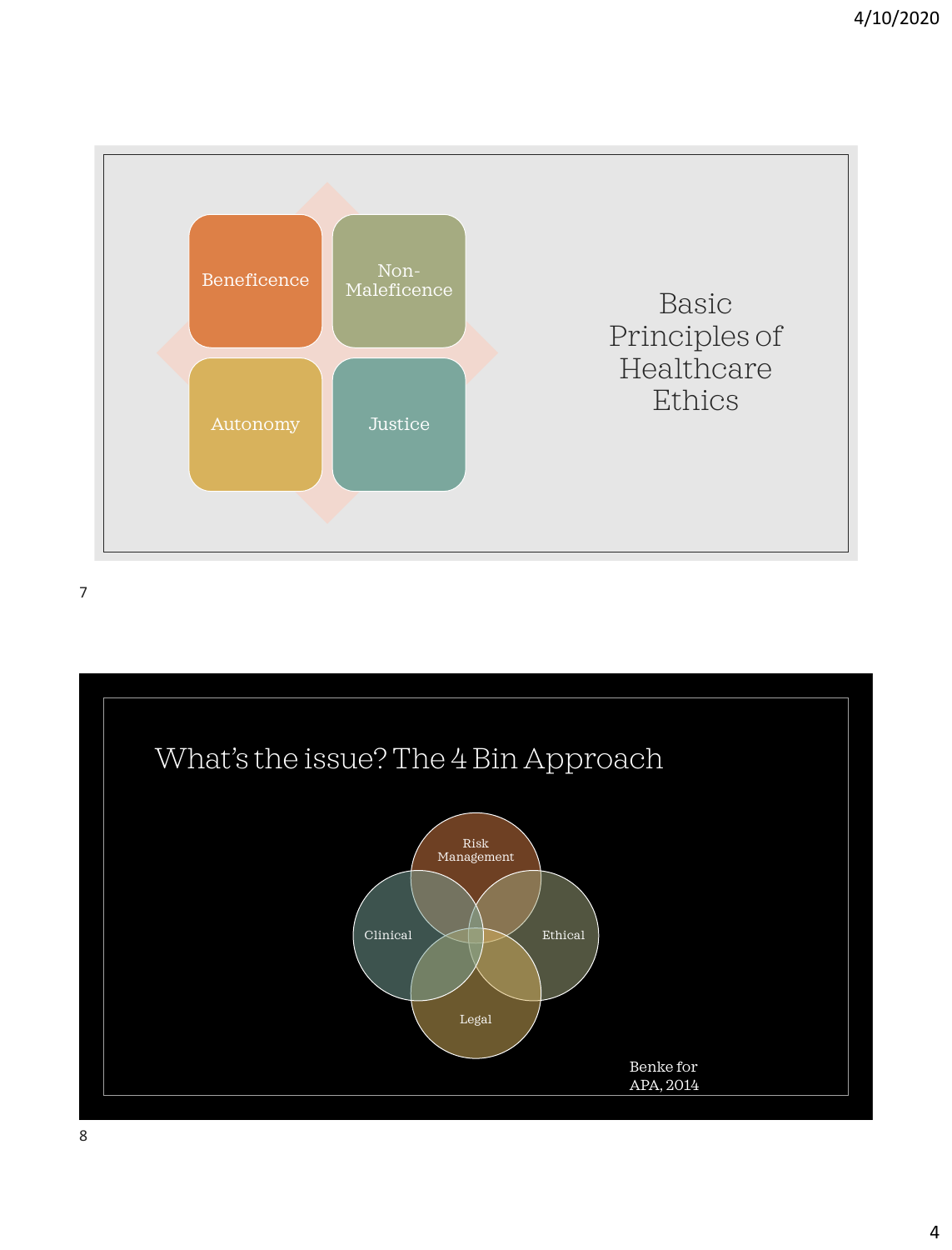

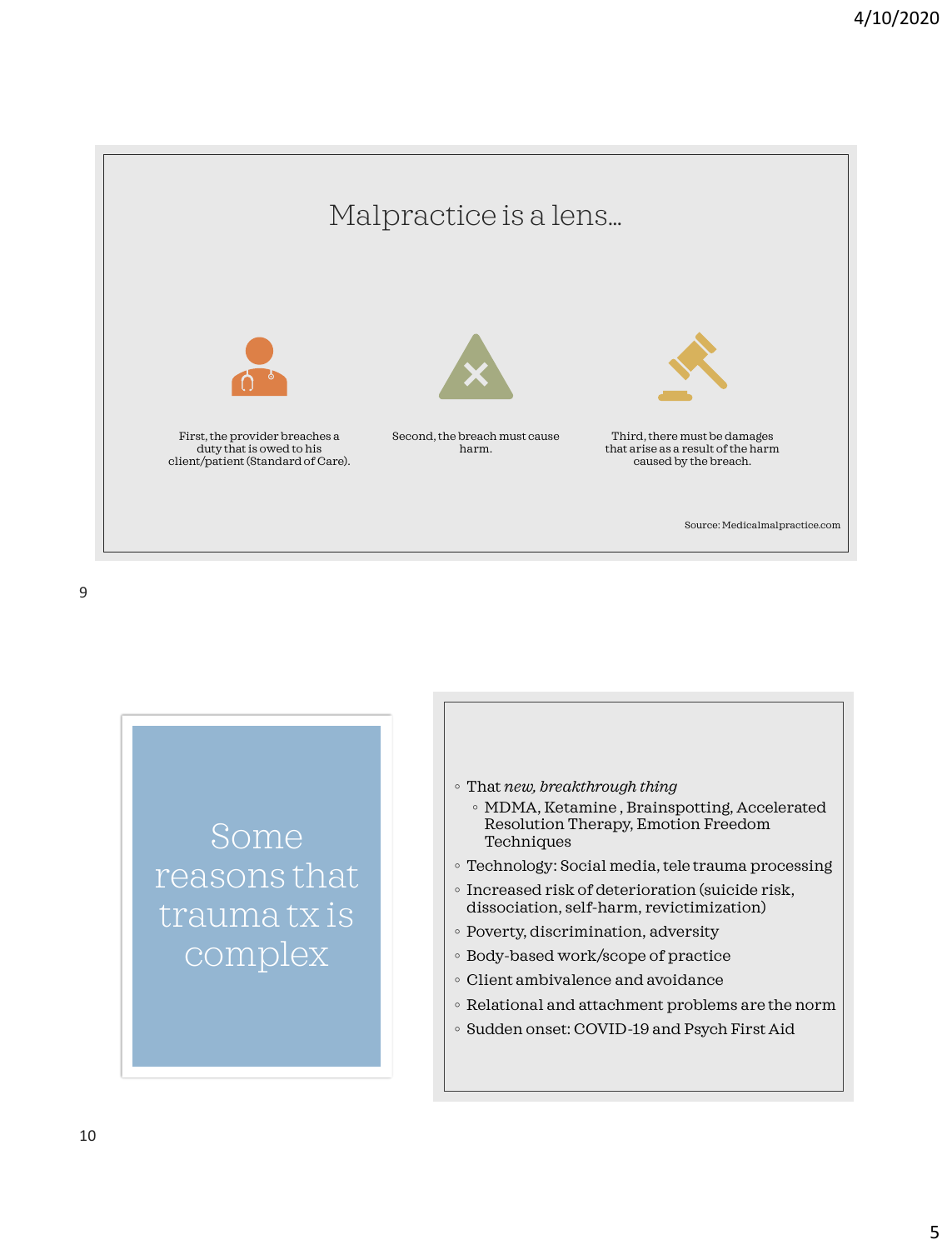



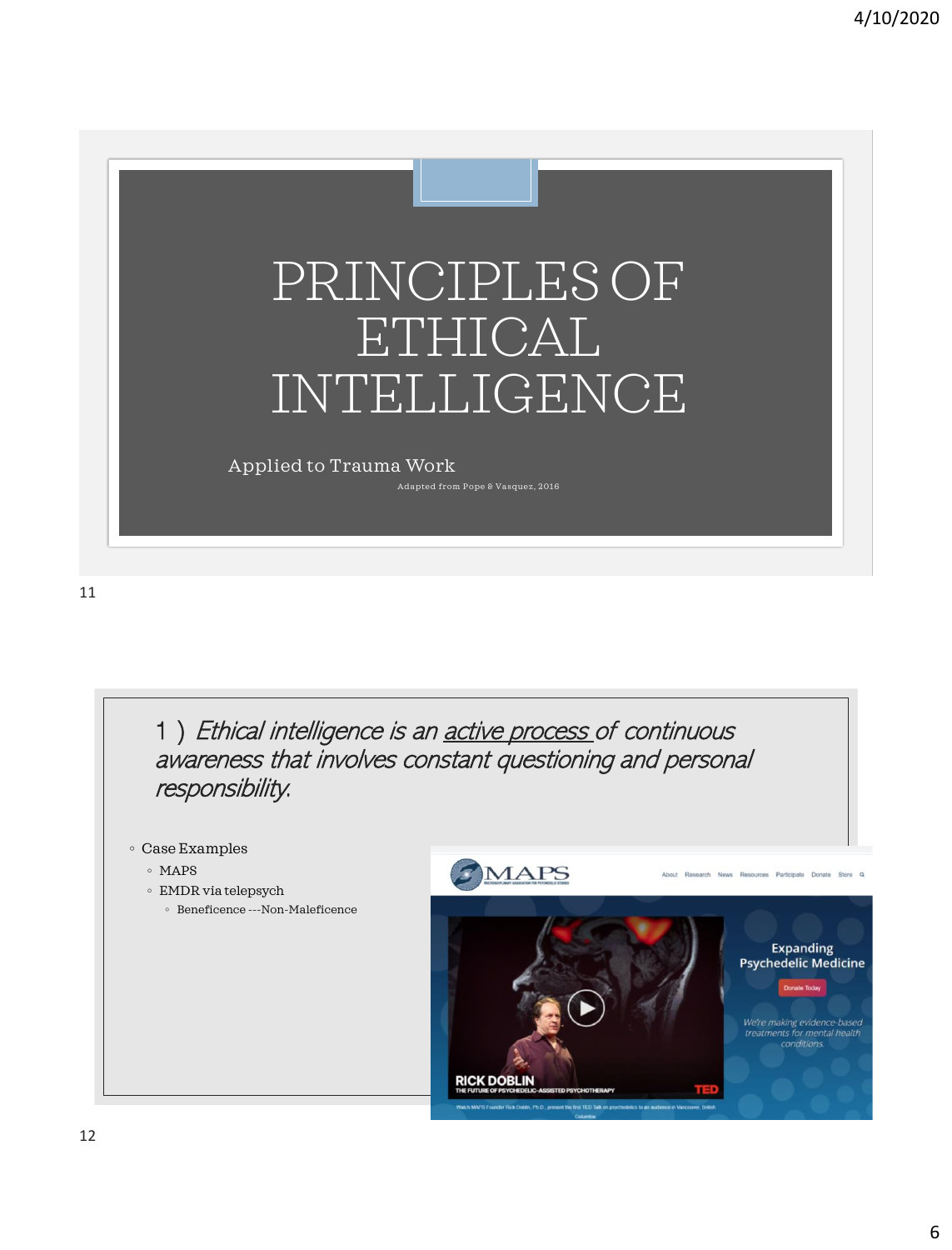# PRINCIPLES OF ETHICAL INTELLIGENCE

Applied to Trauma Work Adapted from Pope & Vasquez, 2016

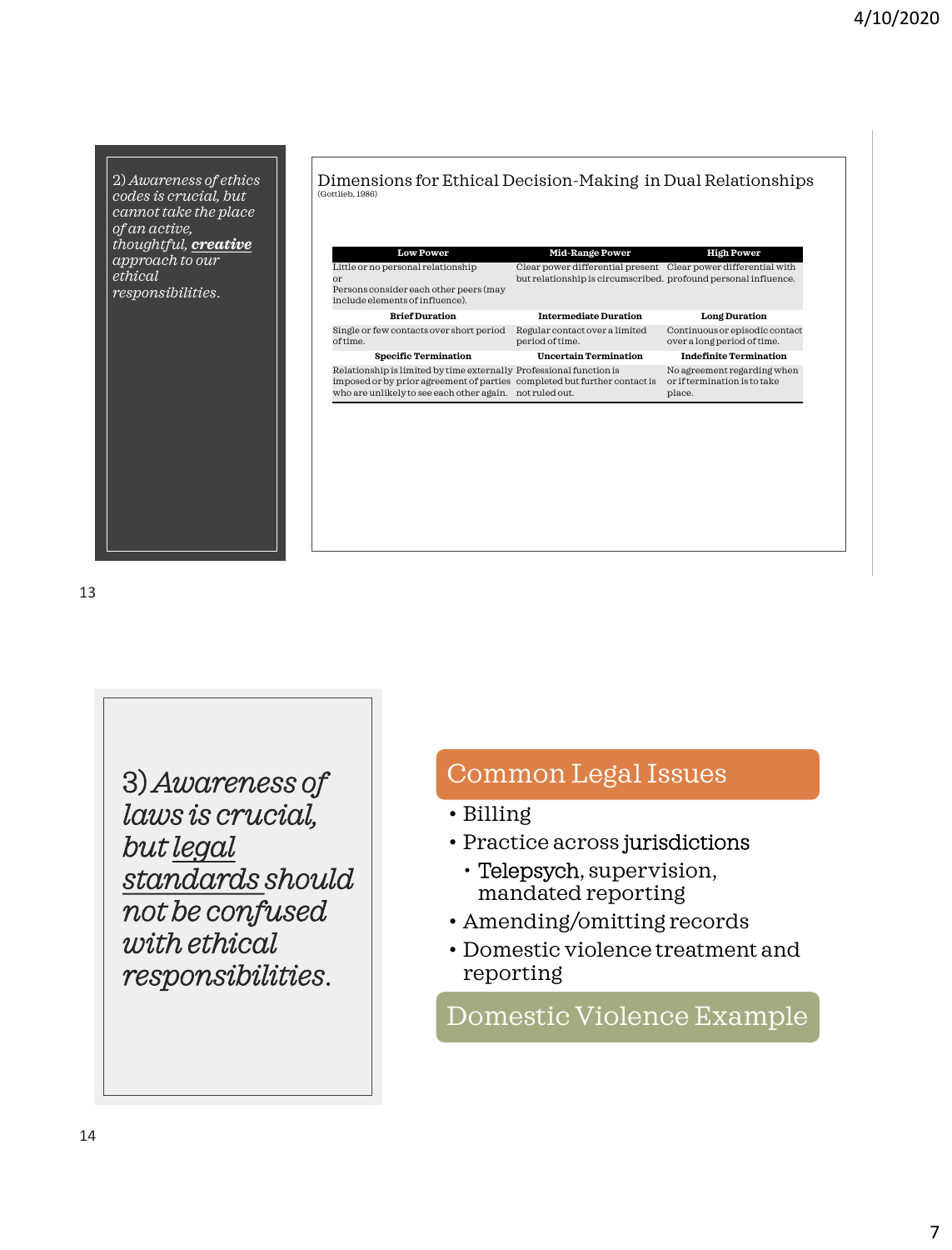2) *Awareness of ethics codes is crucial, but cannot take the place of an active, thoughtful, creative approach to our ethical responsibilities*.



| <b>Low Power</b>                                                                                                                                                                                             | <b>Mid-Range Power</b>                                                                                                            | <b>High Power</b>                                                     |
|--------------------------------------------------------------------------------------------------------------------------------------------------------------------------------------------------------------|-----------------------------------------------------------------------------------------------------------------------------------|-----------------------------------------------------------------------|
| Little or no personal relationship<br>or<br>Persons consider each other peers (may<br>include elements of influence).                                                                                        | Clear power differential present Clear power differential with<br>but relationship is circumscribed, profound personal influence. |                                                                       |
| <b>Rrief Duration</b>                                                                                                                                                                                        | Intermediate Duration                                                                                                             | <b>Long Duration</b>                                                  |
| Single or few contacts over short period<br>of time.                                                                                                                                                         | Regular contact over a limited<br>period of time.                                                                                 | Continuous or episodic contact<br>over a long period of time.         |
| <b>Specific Termination</b>                                                                                                                                                                                  | <b>Uncertain Termination</b>                                                                                                      | <b>Indefinite Termination</b>                                         |
| Relationship is limited by time externally Professional function is<br>imposed or by prior agreement of parties completed but further contact is<br>who are unlikely to see each other again. not ruled out. |                                                                                                                                   | No agreement regarding when<br>or if termination is to take<br>place. |

13

3) *Awareness of laws is crucial, but legal standards should not be confused with ethical responsibilities*.

### Common Legal Issues

- Billing
- Practice across jurisdictions
	- Telepsych, supervision, mandated reporting
- Amending/omitting records
- Domestic violence treatment and reporting

Domestic Violence Example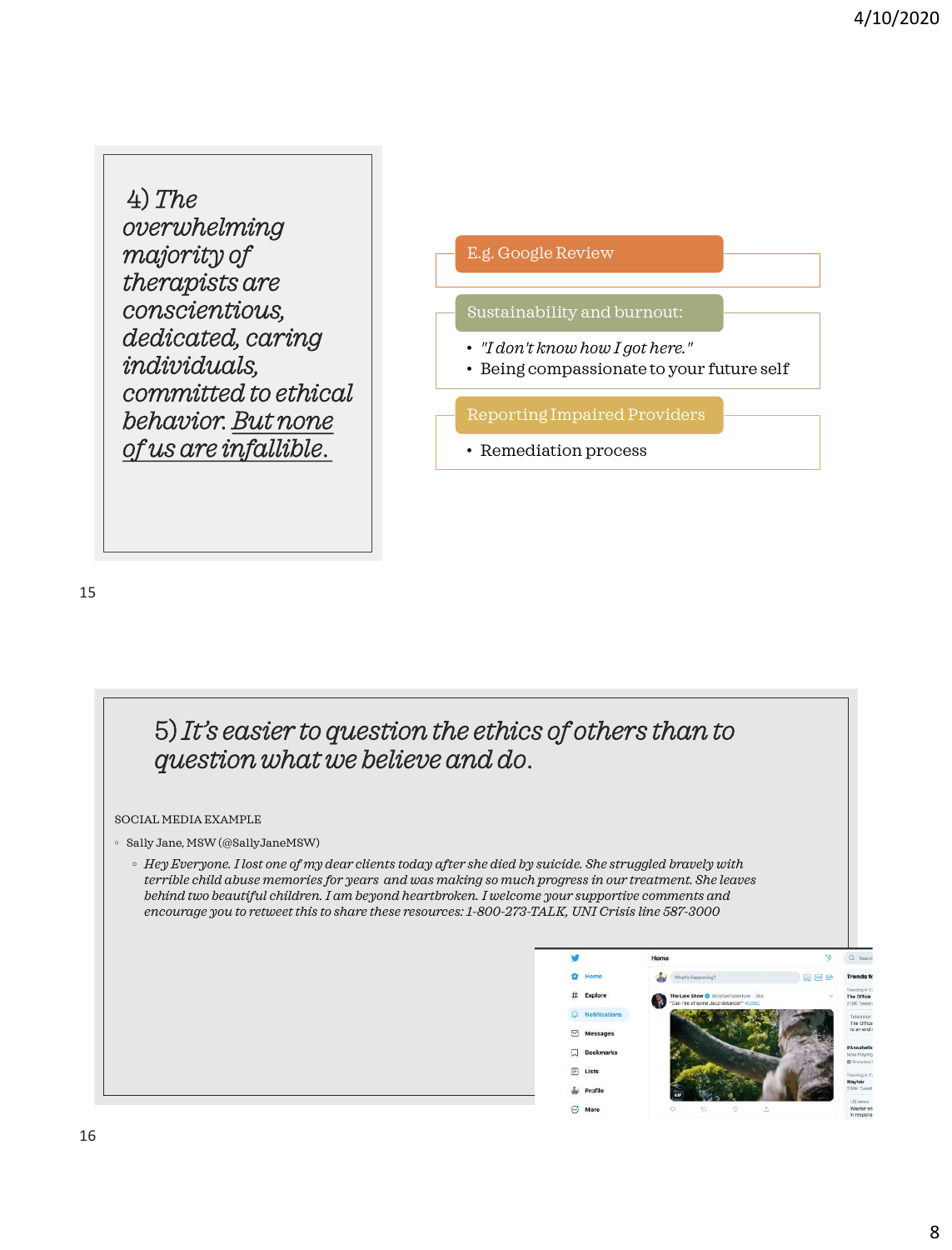4) *The overwhelming majority of therapists are conscientious, dedicated, caring individuals, committed to ethical behavior. But none of us are infallible*.

#### E.g. Google Review

Sustainability and burnout:

- *"I don't know how I got here."*
- Being compassionate to your future self

Reporting Impaired Providers

• Remediation process

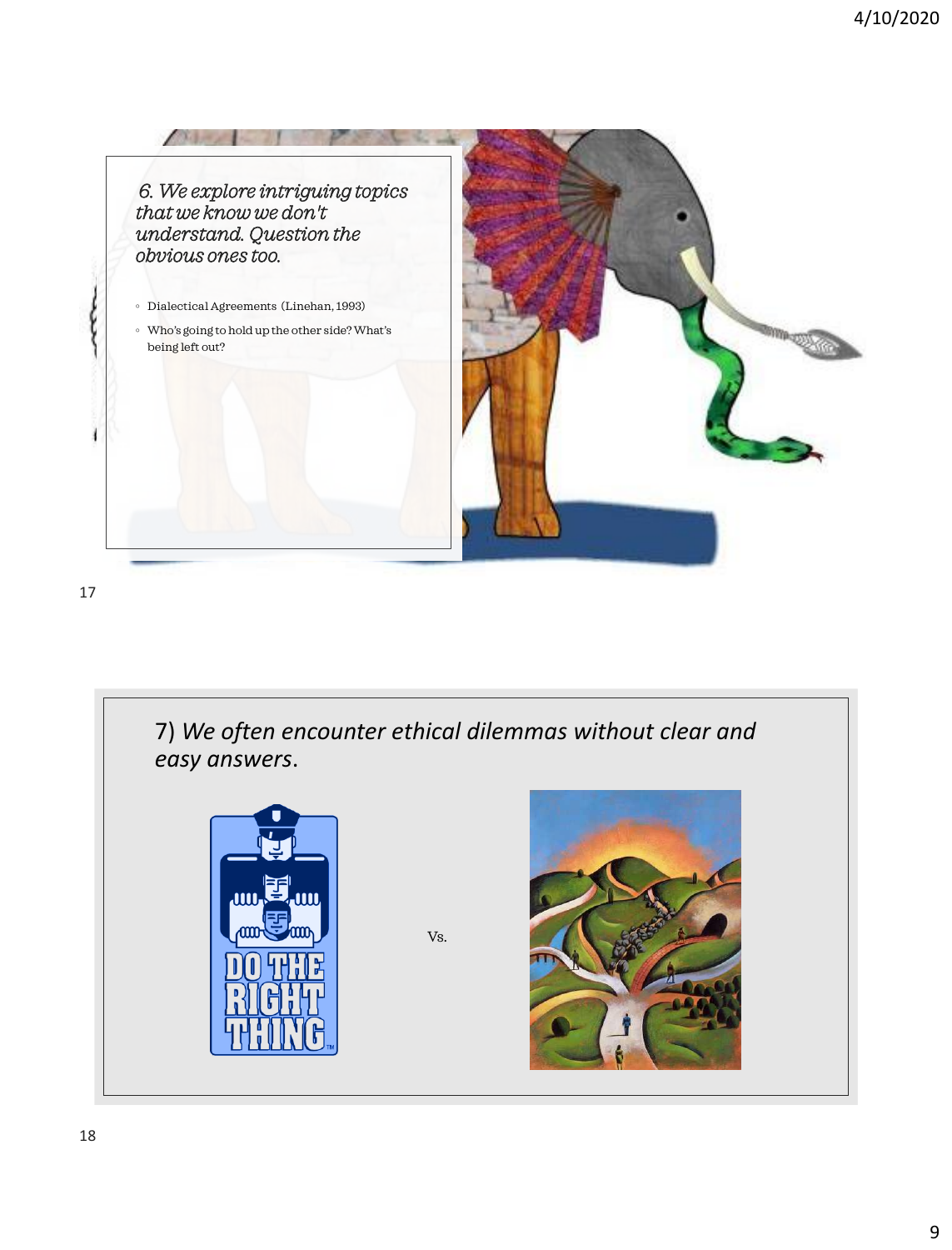

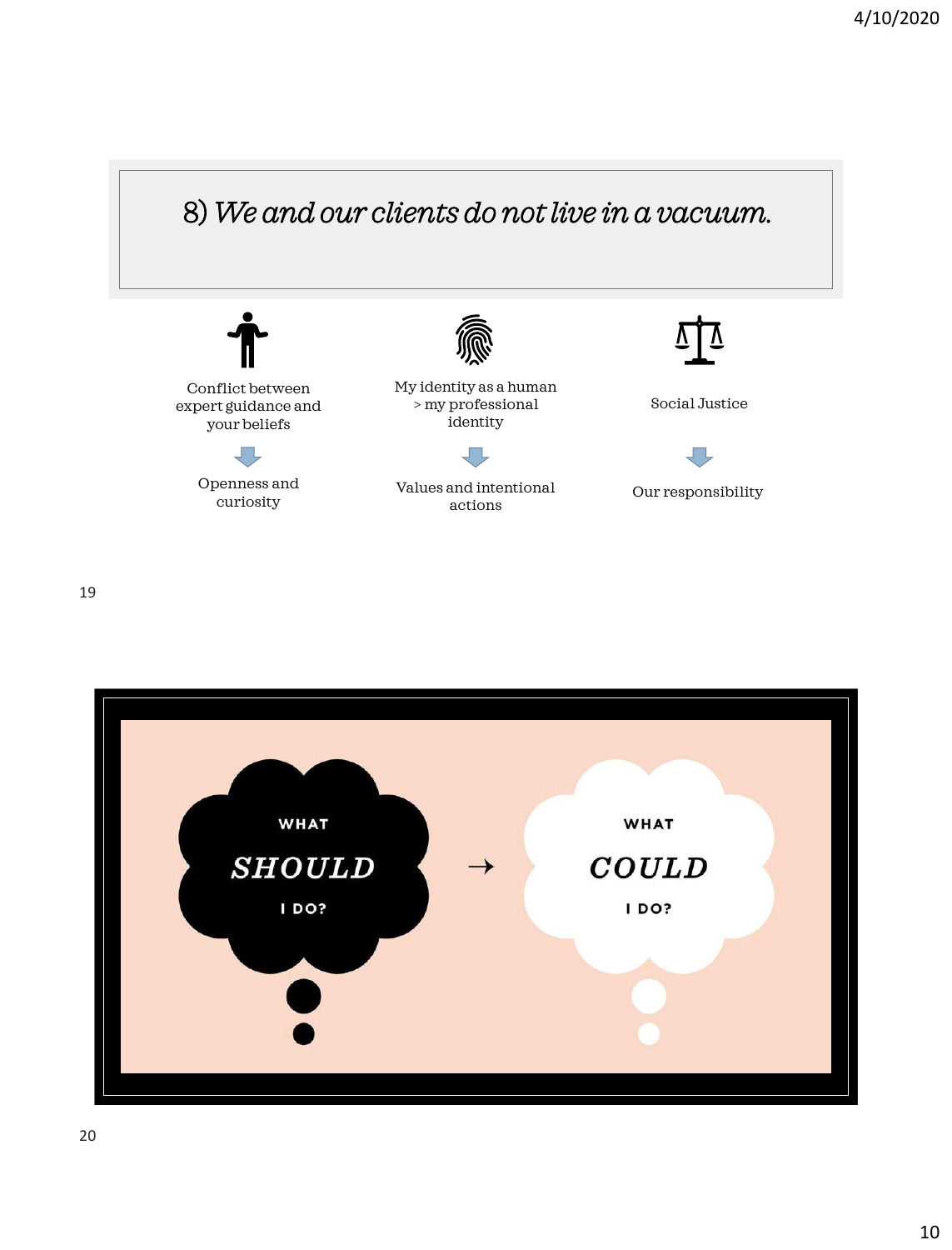



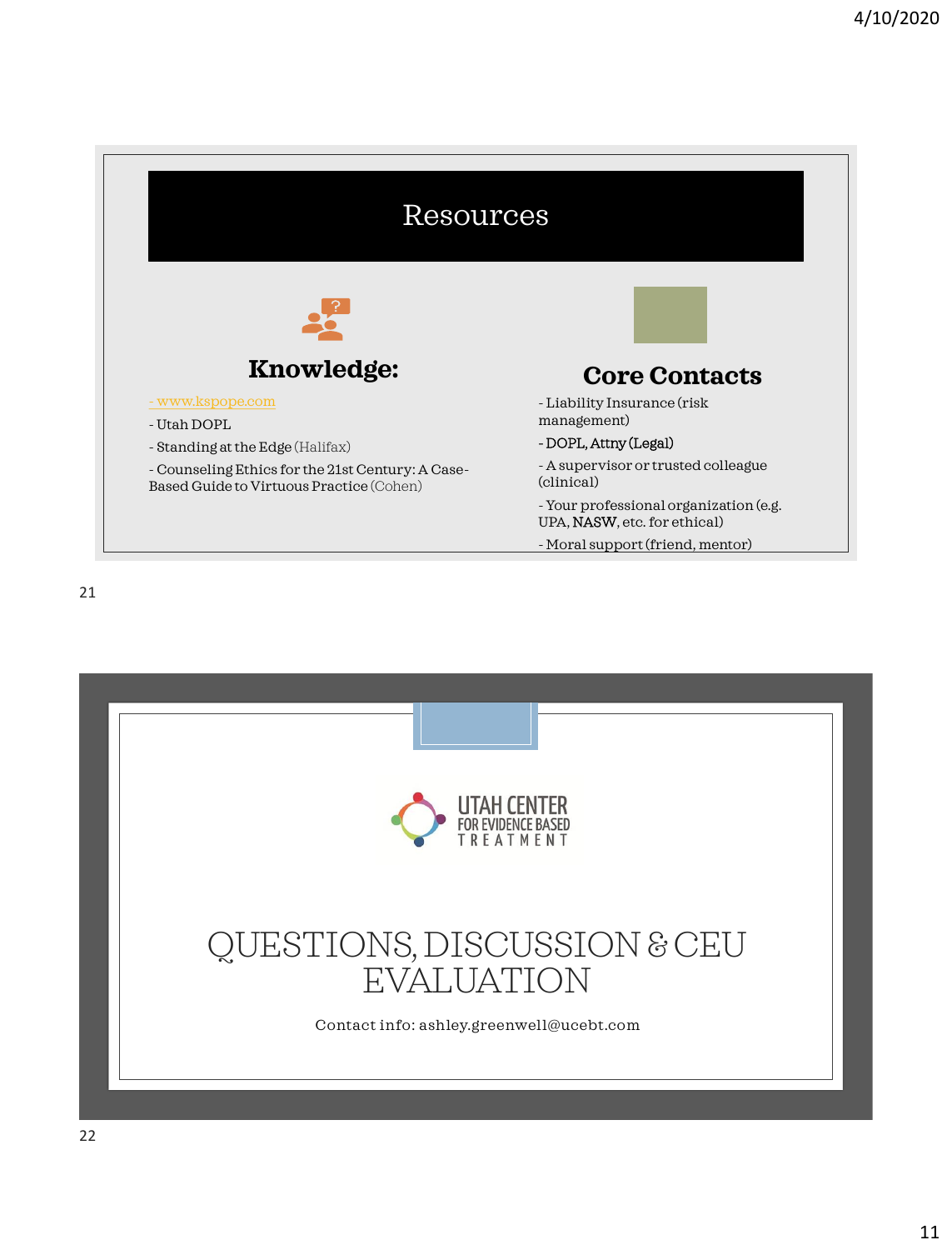| Resources                                                                                     |                                                                        |
|-----------------------------------------------------------------------------------------------|------------------------------------------------------------------------|
| Knowledge:                                                                                    | <b>Core Contacts</b>                                                   |
| - www.kspope.com<br>- Utah DOPL                                                               | - Liability Insurance (risk<br>management)                             |
| - Standing at the Edge (Halifax)                                                              | - DOPL, Attny (Legal)                                                  |
| - Counseling Ethics for the 21st Century: A Case-<br>Based Guide to Virtuous Practice (Cohen) | - A supervisor or trusted colleague<br>(clinical)                      |
|                                                                                               | - Your professional organization (e.g.<br>UPA, NASW, etc. for ethical) |
|                                                                                               | - Moral support (friend, mentor)                                       |